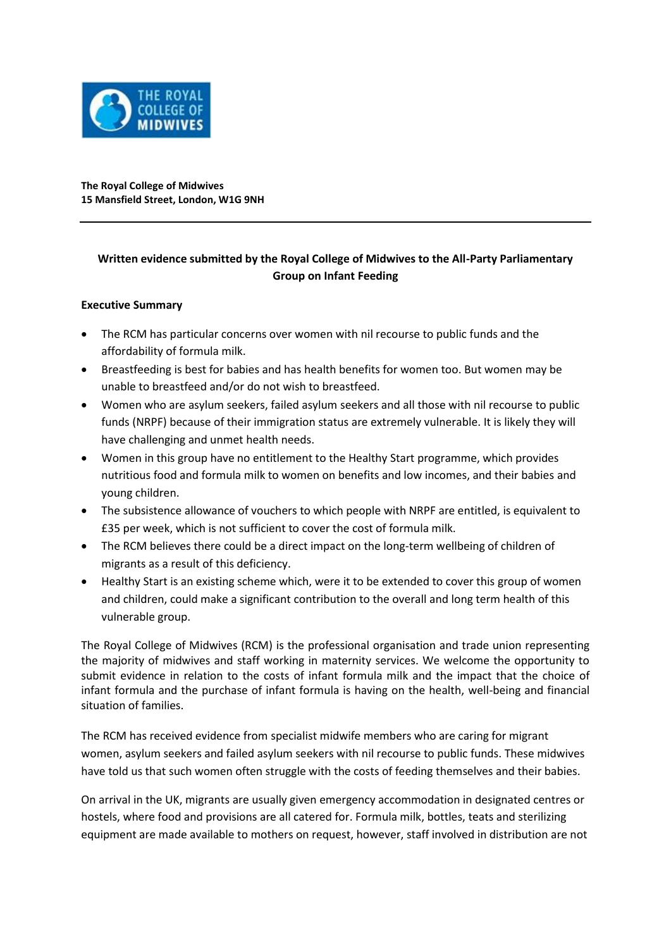

**The Royal College of Midwives 15 Mansfield Street, London, W1G 9NH**

## **Written evidence submitted by the Royal College of Midwives to the All-Party Parliamentary Group on Infant Feeding**

## **Executive Summary**

- The RCM has particular concerns over women with nil recourse to public funds and the affordability of formula milk.
- Breastfeeding is best for babies and has health benefits for women too. But women may be unable to breastfeed and/or do not wish to breastfeed.
- Women who are asylum seekers, failed asylum seekers and all those with nil recourse to public funds (NRPF) because of their immigration status are extremely vulnerable. It is likely they will have challenging and unmet health needs.
- Women in this group have no entitlement to the Healthy Start programme, which provides nutritious food and formula milk to women on benefits and low incomes, and their babies and young children.
- The subsistence allowance of vouchers to which people with NRPF are entitled, is equivalent to £35 per week, which is not sufficient to cover the cost of formula milk.
- The RCM believes there could be a direct impact on the long-term wellbeing of children of migrants as a result of this deficiency.
- Healthy Start is an existing scheme which, were it to be extended to cover this group of women and children, could make a significant contribution to the overall and long term health of this vulnerable group.

The Royal College of Midwives (RCM) is the professional organisation and trade union representing the majority of midwives and staff working in maternity services. We welcome the opportunity to submit evidence in relation to the costs of infant formula milk and the impact that the choice of infant formula and the purchase of infant formula is having on the health, well-being and financial situation of families.

The RCM has received evidence from specialist midwife members who are caring for migrant women, asylum seekers and failed asylum seekers with nil recourse to public funds. These midwives have told us that such women often struggle with the costs of feeding themselves and their babies.

On arrival in the UK, migrants are usually given emergency accommodation in designated centres or hostels, where food and provisions are all catered for. Formula milk, bottles, teats and sterilizing equipment are made available to mothers on request, however, staff involved in distribution are not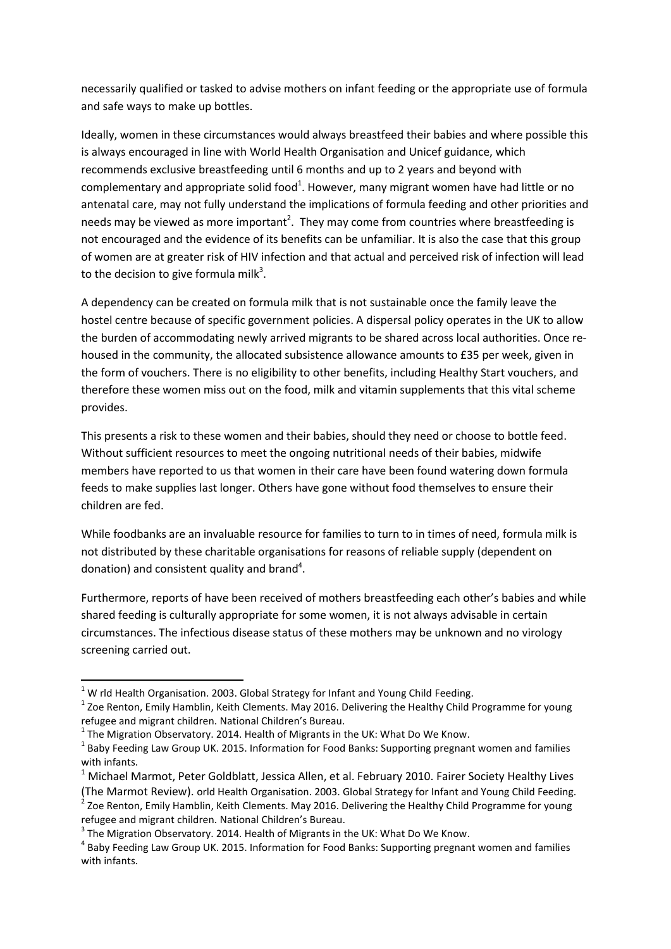necessarily qualified or tasked to advise mothers on infant feeding or the appropriate use of formula and safe ways to make up bottles.

Ideally, women in these circumstances would always breastfeed their babies and where possible this is always encouraged in line with World Health Organisation and Unicef guidance, which recommends exclusive breastfeeding until 6 months and up to 2 years and beyond with complementary and appropriate solid food<sup>1</sup>. However, many migrant women have had little or no antenatal care, may not fully understand the implications of formula feeding and other priorities and needs may be viewed as more important<sup>2</sup>. They may come from countries where breastfeeding is not encouraged and the evidence of its benefits can be unfamiliar. It is also the case that this group of women are at greater risk of HIV infection and that actual and perceived risk of infection will lead to the decision to give formula milk<sup>3</sup>.

A dependency can be created on formula milk that is not sustainable once the family leave the hostel centre because of specific government policies. A dispersal policy operates in the UK to allow the burden of accommodating newly arrived migrants to be shared across local authorities. Once rehoused in the community, the allocated subsistence allowance amounts to £35 per week, given in the form of vouchers. There is no eligibility to other benefits, including Healthy Start vouchers, and therefore these women miss out on the food, milk and vitamin supplements that this vital scheme provides.

This presents a risk to these women and their babies, should they need or choose to bottle feed. Without sufficient resources to meet the ongoing nutritional needs of their babies, midwife members have reported to us that women in their care have been found watering down formula feeds to make supplies last longer. Others have gone without food themselves to ensure their children are fed.

While foodbanks are an invaluable resource for families to turn to in times of need, formula milk is not distributed by these charitable organisations for reasons of reliable supply (dependent on donation) and consistent quality and brand<sup>4</sup>.

Furthermore, reports of have been received of mothers breastfeeding each other's babies and while shared feeding is culturally appropriate for some women, it is not always advisable in certain circumstances. The infectious disease status of these mothers may be unknown and no virology screening carried out.

1

 $1$  W rld Health Organisation. 2003. Global Strategy for Infant and Young Child Feeding.

 $^1$  Zoe Renton, Emily Hamblin, Keith Clements. May 2016. Delivering the Healthy Child Programme for young refugee and migrant children. National Children's Bureau.

 $^1$  The Migration Observatory. 2014. Health of Migrants in the UK: What Do We Know.

 $^{1}$  Baby Feeding Law Group UK. 2015. Information for Food Banks: Supporting pregnant women and families with infants.

<sup>&</sup>lt;sup>1</sup> Michael Marmot, Peter Goldblatt, Jessica Allen, et al. February 2010. Fairer Society Healthy Lives (The Marmot Review). orld Health Organisation. 2003. Global Strategy for Infant and Young Child Feeding.

 $2$  Zoe Renton, Emily Hamblin, Keith Clements. May 2016. Delivering the Healthy Child Programme for young refugee and migrant children. National Children's Bureau.

 $^3$  The Migration Observatory. 2014. Health of Migrants in the UK: What Do We Know.

<sup>&</sup>lt;sup>4</sup> Baby Feeding Law Group UK. 2015. Information for Food Banks: Supporting pregnant women and families with infants.